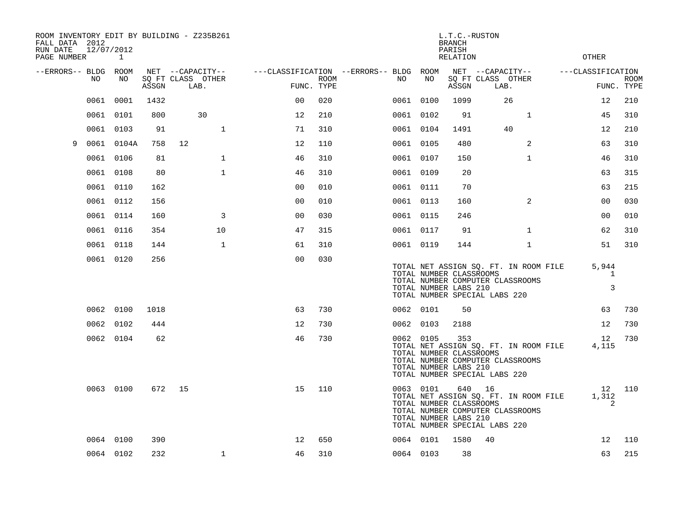| ROOM INVENTORY EDIT BY BUILDING - Z235B261<br>FALL DATA 2012<br>RUN DATE<br>PAGE NUMBER | 12/07/2012 | $\mathbf{1}$ |       |                                               |              |                                                      |      |           |                                                  | L.T.C.-RUSTON<br><b>BRANCH</b><br>PARISH<br><b>RELATION</b> |                                               |                                                                           | <b>OTHER</b>               |                           |
|-----------------------------------------------------------------------------------------|------------|--------------|-------|-----------------------------------------------|--------------|------------------------------------------------------|------|-----------|--------------------------------------------------|-------------------------------------------------------------|-----------------------------------------------|---------------------------------------------------------------------------|----------------------------|---------------------------|
| --ERRORS-- BLDG ROOM                                                                    | NO.        | NO.          | ASSGN | NET --CAPACITY--<br>SQ FT CLASS OTHER<br>LAB. |              | ---CLASSIFICATION --ERRORS-- BLDG ROOM<br>FUNC. TYPE | ROOM | NO.       | NO                                               | ASSGN                                                       | NET --CAPACITY--<br>SQ FT CLASS OTHER<br>LAB. |                                                                           | ---CLASSIFICATION          | <b>ROOM</b><br>FUNC. TYPE |
|                                                                                         | 0061       | 0001         | 1432  |                                               |              | 0 <sub>0</sub>                                       | 020  | 0061 0100 |                                                  | 1099                                                        |                                               | 26                                                                        | 12                         | 210                       |
|                                                                                         | 0061 0101  |              | 800   | 30                                            |              | 12                                                   | 210  | 0061 0102 |                                                  | 91                                                          |                                               | $\mathbf{1}$                                                              | 45                         | 310                       |
|                                                                                         | 0061       | 0103         | 91    |                                               | $\mathbf{1}$ | 71                                                   | 310  | 0061 0104 |                                                  | 1491                                                        |                                               | 40                                                                        | 12                         | 210                       |
| 9                                                                                       | 0061       | 0104A        | 758   | 12                                            |              | 12                                                   | 110  | 0061 0105 |                                                  | 480                                                         |                                               | 2                                                                         | 63                         | 310                       |
|                                                                                         | 0061       | 0106         | 81    |                                               | $\mathbf{1}$ | 46                                                   | 310  | 0061 0107 |                                                  | 150                                                         |                                               | $\mathbf{1}$                                                              | 46                         | 310                       |
|                                                                                         | 0061 0108  |              | 80    |                                               | $\mathbf{1}$ | 46                                                   | 310  | 0061 0109 |                                                  | 20                                                          |                                               |                                                                           | 63                         | 315                       |
|                                                                                         | 0061 0110  |              | 162   |                                               |              | 0 <sub>0</sub>                                       | 010  | 0061 0111 |                                                  | 70                                                          |                                               |                                                                           | 63                         | 215                       |
|                                                                                         | 0061 0112  |              | 156   |                                               |              | 00                                                   | 010  | 0061 0113 |                                                  | 160                                                         |                                               | $\overline{2}$                                                            | 00                         | 030                       |
|                                                                                         | 0061 0114  |              | 160   |                                               | 3            | 0 <sub>0</sub>                                       | 030  | 0061 0115 |                                                  | 246                                                         |                                               |                                                                           | 00                         | 010                       |
|                                                                                         | 0061 0116  |              | 354   |                                               | 10           | 47                                                   | 315  | 0061 0117 |                                                  | 91                                                          |                                               | $\mathbf{1}$                                                              | 62                         | 310                       |
|                                                                                         | 0061 0118  |              | 144   |                                               | $\mathbf{1}$ | 61                                                   | 310  | 0061 0119 |                                                  | 144                                                         |                                               | $\mathbf{1}$                                                              | 51                         | 310                       |
|                                                                                         | 0061 0120  |              | 256   |                                               |              | 0 <sub>0</sub>                                       | 030  |           | TOTAL NUMBER CLASSROOMS<br>TOTAL NUMBER LABS 210 |                                                             | TOTAL NUMBER SPECIAL LABS 220                 | TOTAL NET ASSIGN SQ. FT. IN ROOM FILE<br>TOTAL NUMBER COMPUTER CLASSROOMS | 5,944<br>$\mathbf{1}$<br>3 |                           |
|                                                                                         | 0062 0100  |              | 1018  |                                               |              | 63                                                   | 730  | 0062 0101 |                                                  | 50                                                          |                                               |                                                                           | 63                         | 730                       |
|                                                                                         | 0062 0102  |              | 444   |                                               |              | 12                                                   | 730  | 0062 0103 |                                                  | 2188                                                        |                                               |                                                                           | 12                         | 730                       |
|                                                                                         |            | 0062 0104    | 62    |                                               |              | 46                                                   | 730  | 0062 0105 | TOTAL NUMBER CLASSROOMS<br>TOTAL NUMBER LABS 210 | 353                                                         | TOTAL NUMBER SPECIAL LABS 220                 | TOTAL NET ASSIGN SQ. FT. IN ROOM FILE<br>TOTAL NUMBER COMPUTER CLASSROOMS | 12<br>4,115                | 730                       |
|                                                                                         |            | 0063 0100    | 672   | 15                                            |              | 15                                                   | 110  | 0063 0101 | TOTAL NUMBER CLASSROOMS<br>TOTAL NUMBER LABS 210 |                                                             | 640 16<br>TOTAL NUMBER SPECIAL LABS 220       | TOTAL NET ASSIGN SQ. FT. IN ROOM FILE<br>TOTAL NUMBER COMPUTER CLASSROOMS | 1,312<br>2                 | 12 110                    |
|                                                                                         | 0064 0100  |              | 390   |                                               |              | 12                                                   | 650  | 0064 0101 |                                                  | 1580                                                        | 40                                            |                                                                           | 12                         | 110                       |
|                                                                                         | 0064 0102  |              | 232   |                                               | $\mathbf{1}$ | 46                                                   | 310  | 0064 0103 |                                                  | 38                                                          |                                               |                                                                           | 63                         | 215                       |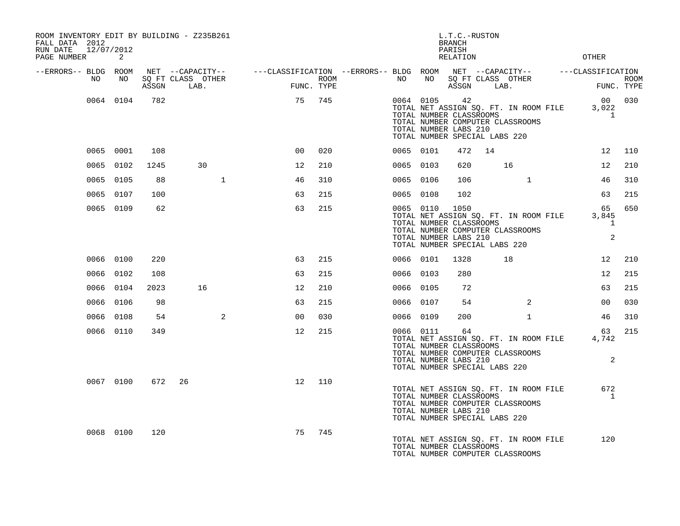| ROOM INVENTORY EDIT BY BUILDING - Z235B261<br>FALL DATA 2012<br>RUN DATE 12/07/2012<br>PAGE NUMBER | 2         |      |                                                                                                                                   |                |     |             |           |                                                               | L.T.C.-RUSTON<br><b>BRANCH</b><br>PARISH<br>RELATION |                                                                                                                                       |                | OTHER                           |             |
|----------------------------------------------------------------------------------------------------|-----------|------|-----------------------------------------------------------------------------------------------------------------------------------|----------------|-----|-------------|-----------|---------------------------------------------------------------|------------------------------------------------------|---------------------------------------------------------------------------------------------------------------------------------------|----------------|---------------------------------|-------------|
| --ERRORS-- BLDG ROOM<br>NO                                                                         | NO        |      | NET --CAPACITY-- - ---CLASSIFICATION --ERRORS-- BLDG ROOM NET --CAPACITY-- - ---CLASSIFICATION<br>SQ FT CLASS OTHER<br>ASSGN LAB. | FUNC. TYPE     |     | <b>ROOM</b> |           |                                                               |                                                      | NO NO SQ FT CLASS OTHER<br>ASSGN LAB.                                                                                                 |                | FUNC. TYPE                      | <b>ROOM</b> |
|                                                                                                    | 0064 0104 | 782  |                                                                                                                                   | 75             | 745 |             |           | 0064 0105 42<br>TOTAL NUMBER LABS 210                         |                                                      | TOTAL NET ASSIGN SQ. FT. IN ROOM FILE<br>TOTAL NUMBER CLASSROOMS<br>TOTAL NUMBER COMPUTER CLASSROOMS<br>TOTAL NUMBER SPECIAL LABS 220 |                | 00 030<br>3,022<br>$\mathbf{1}$ |             |
|                                                                                                    | 0065 0001 | 108  |                                                                                                                                   | 00             | 020 |             | 0065 0101 |                                                               | 472                                                  | 14                                                                                                                                    |                |                                 | 12 110      |
|                                                                                                    | 0065 0102 | 1245 | 30                                                                                                                                | 12             | 210 |             | 0065 0103 |                                                               | 620                                                  | 16                                                                                                                                    |                | 12 <sup>°</sup>                 | 210         |
|                                                                                                    | 0065 0105 | 88   | $\mathbf{1}$                                                                                                                      | 46             | 310 |             | 0065 0106 |                                                               | 106                                                  |                                                                                                                                       | $\mathbf{1}$   | 46                              | 310         |
|                                                                                                    | 0065 0107 | 100  |                                                                                                                                   | 63             | 215 |             | 0065 0108 |                                                               | 102                                                  |                                                                                                                                       |                | 63                              | 215         |
|                                                                                                    | 0065 0109 | 62   |                                                                                                                                   | 63             | 215 |             |           | 0065 0110 1050<br>TOTAL NUMBER LABS 210                       |                                                      | TOTAL NET ASSIGN SQ. FT. IN ROOM FILE<br>TOTAL NUMBER CLASSROOMS<br>TOTAL NUMBER COMPUTER CLASSROOMS<br>TOTAL NUMBER SPECIAL LABS 220 |                | 65<br>3,845<br>1<br>2           | 650         |
|                                                                                                    | 0066 0100 | 220  |                                                                                                                                   | 63             | 215 |             | 0066 0101 |                                                               | 1328                                                 | 18                                                                                                                                    |                | 12                              | 210         |
|                                                                                                    | 0066 0102 | 108  |                                                                                                                                   | 63             | 215 |             | 0066 0103 |                                                               | 280                                                  |                                                                                                                                       |                | 12 <sup>°</sup>                 | 215         |
|                                                                                                    | 0066 0104 | 2023 | 16                                                                                                                                | 12             | 210 |             | 0066 0105 |                                                               | 72                                                   |                                                                                                                                       |                | 63                              | 215         |
|                                                                                                    | 0066 0106 | 98   |                                                                                                                                   | 63             | 215 |             | 0066 0107 |                                                               | 54                                                   |                                                                                                                                       | $\overline{2}$ | 0 <sub>0</sub>                  | 030         |
|                                                                                                    | 0066 0108 | 54   | 2                                                                                                                                 | 0 <sup>0</sup> | 030 |             | 0066 0109 |                                                               | 200                                                  |                                                                                                                                       | $\mathbf{1}$   | 46                              | 310         |
|                                                                                                    | 0066 0110 | 349  |                                                                                                                                   | 12             | 215 |             |           | 0066 0111<br>TOTAL NUMBER CLASSROOMS<br>TOTAL NUMBER LABS 210 | 64                                                   | TOTAL NET ASSIGN SQ. FT. IN ROOM FILE<br>TOTAL NUMBER COMPUTER CLASSROOMS<br>TOTAL NUMBER SPECIAL LABS 220                            |                | 63<br>4,742<br>$\overline{2}$   | 215         |
|                                                                                                    | 0067 0100 |      | 672 26                                                                                                                            | 12             | 110 |             |           | TOTAL NUMBER CLASSROOMS<br>TOTAL NUMBER LABS 210              |                                                      | TOTAL NET ASSIGN SQ. FT. IN ROOM FILE<br>TOTAL NUMBER COMPUTER CLASSROOMS<br>TOTAL NUMBER SPECIAL LABS 220                            |                | 672<br><sup>1</sup>             |             |
|                                                                                                    | 0068 0100 | 120  |                                                                                                                                   | 75             | 745 |             |           | TOTAL NUMBER CLASSROOMS                                       |                                                      | TOTAL NET ASSIGN SQ. FT. IN ROOM FILE<br>TOTAL NUMBER COMPUTER CLASSROOMS                                                             |                | 120                             |             |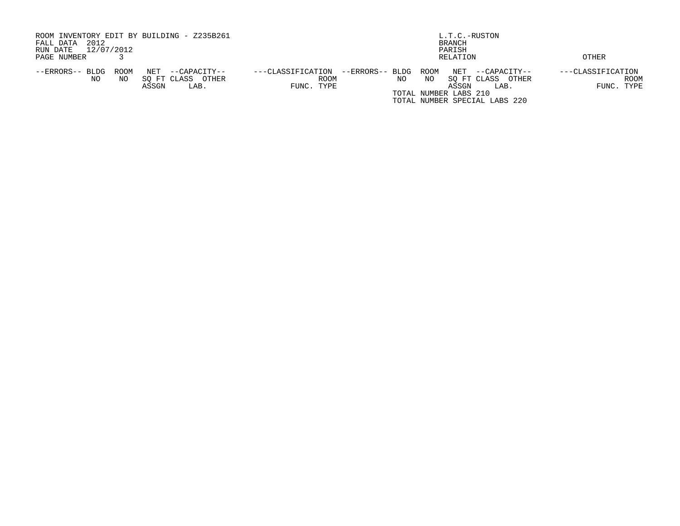| ROOM INVENTORY EDIT BY BUILDING - Z235B261<br>2012<br>FALL DATA<br>12/07/2012<br>RUN DATE            | L.T.C.-RUSTON<br>BRANCH<br>PARISH                                                                                                                                                                                |                                                |
|------------------------------------------------------------------------------------------------------|------------------------------------------------------------------------------------------------------------------------------------------------------------------------------------------------------------------|------------------------------------------------|
| PAGE NUMBER                                                                                          | RELATION                                                                                                                                                                                                         | OTHER                                          |
| ROOM<br>NET<br>--ERRORS-- BLDG<br>--CAPACITY--<br>SO FT CLASS<br>NO.<br>OTHER<br>NO<br>ASSGN<br>LAB. | ---CLASSIFICATION<br>--ERRORS-- BLDG<br>ROOM<br>NET<br>--CAPACITY--<br><b>ROOM</b><br>SO FT CLASS<br>OTHER<br>NO<br>NO.<br>FUNC. TYPE<br>ASSGN<br>LAB.<br>TOTAL NUMBER LABS 210<br>TOTAL NUMBER SPECIAL LABS 220 | ---CLASSIFICATION<br><b>ROOM</b><br>FUNC. TYPE |